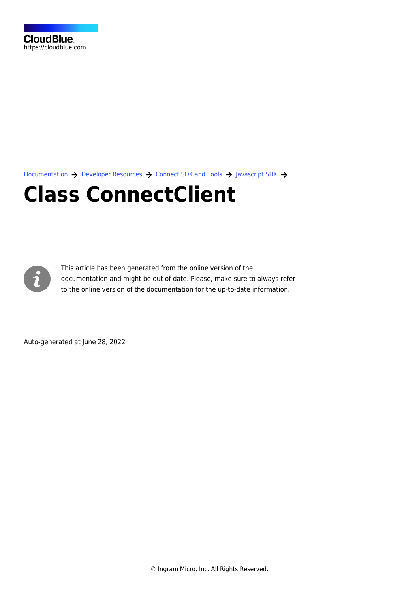[Documentation](https://connect.cloudblue.com/documentation)  $\rightarrow$  [Developer Resources](https://connect.cloudblue.com/community/developers/)  $\rightarrow$  [Connect SDK and Tools](https://connect.cloudblue.com/community/developers/sdk/)  $\rightarrow$  [Javascript SDK](https://connect.cloudblue.com/community/developers/sdk/javascript-sdk/)  $\rightarrow$ 

# **[Class ConnectClient](https://connect.cloudblue.com/community/developers/sdk/javascript-sdk/class-connectclient/)**



This article has been generated from the online version of the documentation and might be out of date. Please, make sure to always refer to the online version of the documentation for the up-to-date information.

Auto-generated at June 28, 2022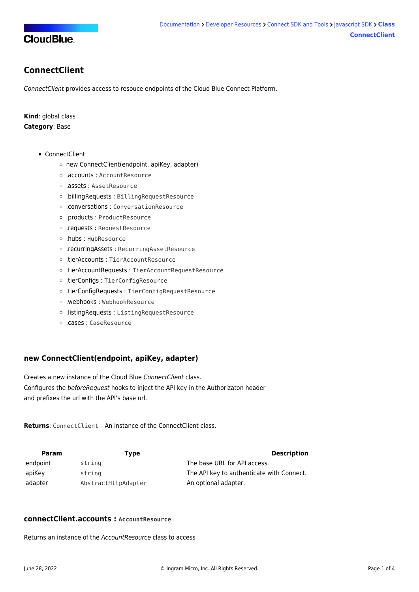

# <span id="page-1-0"></span>**ConnectClient**

ConnectClient provides access to resouce endpoints of the Cloud Blue Connect Platform.

**Kind**: global class **Category**: Base

- [ConnectClient](#page-1-0)
	- o [new ConnectClient\(endpoint, apiKey, adapter\)](#page-1-1)
	- [.accounts](#page-1-2) : AccountResource
	- [.assets](#page-2-0) : AssetResource
	- [.billingRequests](#page-2-1) : BillingRequestResource
	- [.conversations](#page-2-2) : ConversationResource
	- [.products](#page-2-3) : ProductResource
	- [.requests](#page-2-4) : RequestResource
	- [.hubs](#page-2-5) : HubResource
	- [.recurringAssets](#page-3-0) : RecurringAssetResource
	- [.tierAccounts](#page-3-1) : TierAccountResource
	- [.tierAccountRequests](#page-3-2) : TierAccountRequestResource
	- [.tierConfigs](#page-3-3) : TierConfigResource
	- [.tierConfigRequests](#page-3-4) : TierConfigRequestResource
	- [.webhooks](#page-4-0) : WebhookResource
	- [.listingRequests](#page-4-1) : ListingRequestResource
	- [.cases](#page-4-2) : CaseResource

# <span id="page-1-1"></span>**new ConnectClient(endpoint, apiKey, adapter)**

Creates a new instance of the Cloud Blue ConnectClient class. Configures the beforeRequest hooks to inject the API key in the Authorizaton header and prefixes the url with the API's base url.

**Returns**: [ConnectClient](#page-1-0) – An instance of the ConnectClient class.

| Param    | Type                | <b>Description</b>                        |
|----------|---------------------|-------------------------------------------|
| endpoint | string              | The base URL for API access.              |
| apiKey   | string              | The API key to authenticate with Connect. |
| adapter  | AbstractHttpAdapter | An optional adapter.                      |

## <span id="page-1-2"></span>**connectClient.accounts : AccountResource**

Returns an instance of the AccountResource class to access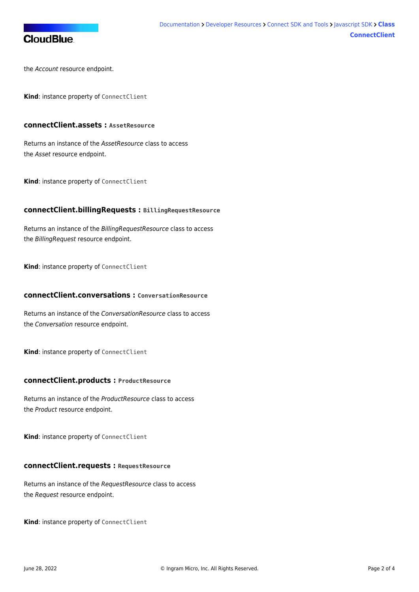

the Account resource endpoint.

<span id="page-2-0"></span>**Kind**: instance property of [ConnectClient](#page-1-0)

## **connectClient.assets : AssetResource**

Returns an instance of the AssetResource class to access the Asset resource endpoint.

<span id="page-2-1"></span>**Kind**: instance property of [ConnectClient](#page-1-0)

## **connectClient.billingRequests : BillingRequestResource**

Returns an instance of the BillingRequestResource class to access the BillingRequest resource endpoint.

<span id="page-2-2"></span>**Kind**: instance property of [ConnectClient](#page-1-0)

## **connectClient.conversations : ConversationResource**

Returns an instance of the ConversationResource class to access the Conversation resource endpoint.

<span id="page-2-3"></span>**Kind**: instance property of [ConnectClient](#page-1-0)

#### **connectClient.products : ProductResource**

Returns an instance of the ProductResource class to access the Product resource endpoint.

<span id="page-2-4"></span>**Kind**: instance property of [ConnectClient](#page-1-0)

## **connectClient.requests : RequestResource**

Returns an instance of the RequestResource class to access the Request resource endpoint.

<span id="page-2-5"></span>**Kind**: instance property of [ConnectClient](#page-1-0)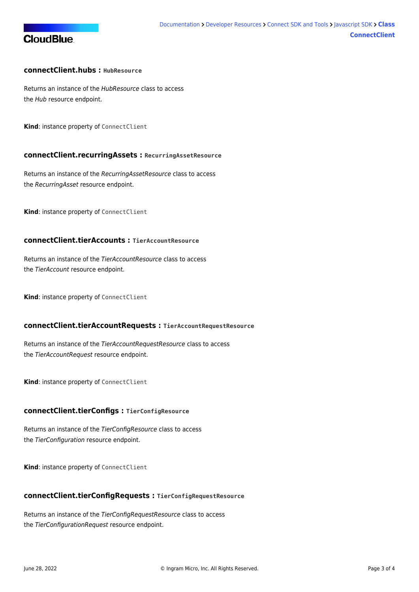# **CloudBlue**

# **connectClient.hubs : HubResource**

Returns an instance of the HubResource class to access the Hub resource endpoint.

<span id="page-3-0"></span>**Kind**: instance property of [ConnectClient](#page-1-0)

### **connectClient.recurringAssets : RecurringAssetResource**

Returns an instance of the RecurringAssetResource class to access the RecurringAsset resource endpoint.

<span id="page-3-1"></span>**Kind**: instance property of [ConnectClient](#page-1-0)

## **connectClient.tierAccounts : TierAccountResource**

Returns an instance of the TierAccountResource class to access the TierAccount resource endpoint.

<span id="page-3-2"></span>**Kind**: instance property of [ConnectClient](#page-1-0)

#### **connectClient.tierAccountRequests : TierAccountRequestResource**

Returns an instance of the TierAccountRequestResource class to access the TierAccountRequest resource endpoint.

<span id="page-3-3"></span>**Kind**: instance property of [ConnectClient](#page-1-0)

## **connectClient.tierConfigs : TierConfigResource**

Returns an instance of the TierConfigResource class to access the TierConfiguration resource endpoint.

<span id="page-3-4"></span>**Kind**: instance property of [ConnectClient](#page-1-0)

#### **connectClient.tierConfigRequests : TierConfigRequestResource**

Returns an instance of the TierConfigRequestResource class to access the TierConfigurationRequest resource endpoint.